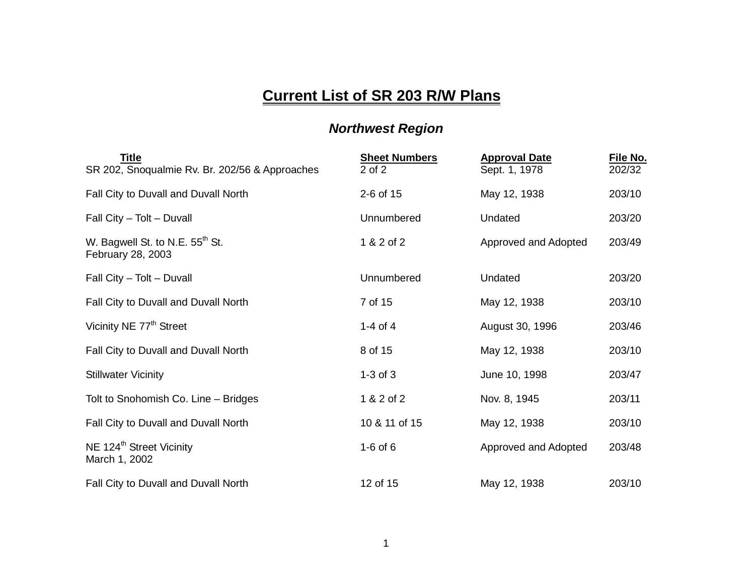## **Current List of SR 203 R/W Plans**

## *Northwest Region*

| <b>Title</b><br>SR 202, Snoqualmie Rv. Br. 202/56 & Approaches   | <b>Sheet Numbers</b><br>$2$ of $2$ | <b>Approval Date</b><br>Sept. 1, 1978 | File No.<br>202/32 |
|------------------------------------------------------------------|------------------------------------|---------------------------------------|--------------------|
| Fall City to Duvall and Duvall North                             | 2-6 of 15                          | May 12, 1938                          | 203/10             |
| Fall City - Tolt - Duvall                                        | Unnumbered                         | Undated                               | 203/20             |
| W. Bagwell St. to N.E. 55 <sup>th</sup> St.<br>February 28, 2003 | 1 & 2 of 2                         | Approved and Adopted                  | 203/49             |
| Fall City - Tolt - Duvall                                        | Unnumbered                         | Undated                               | 203/20             |
| Fall City to Duvall and Duvall North                             | 7 of 15                            | May 12, 1938                          | 203/10             |
| Vicinity NE 77 <sup>th</sup> Street                              | 1-4 of 4                           | August 30, 1996                       | 203/46             |
| Fall City to Duvall and Duvall North                             | 8 of 15                            | May 12, 1938                          | 203/10             |
| <b>Stillwater Vicinity</b>                                       | $1-3$ of $3$                       | June 10, 1998                         | 203/47             |
| Tolt to Snohomish Co. Line - Bridges                             | 1 & 2 of 2                         | Nov. 8, 1945                          | 203/11             |
| Fall City to Duvall and Duvall North                             | 10 & 11 of 15                      | May 12, 1938                          | 203/10             |
| NE 124 <sup>th</sup> Street Vicinity<br>March 1, 2002            | $1-6$ of $6$                       | Approved and Adopted                  | 203/48             |
| Fall City to Duvall and Duvall North                             | 12 of 15                           | May 12, 1938                          | 203/10             |